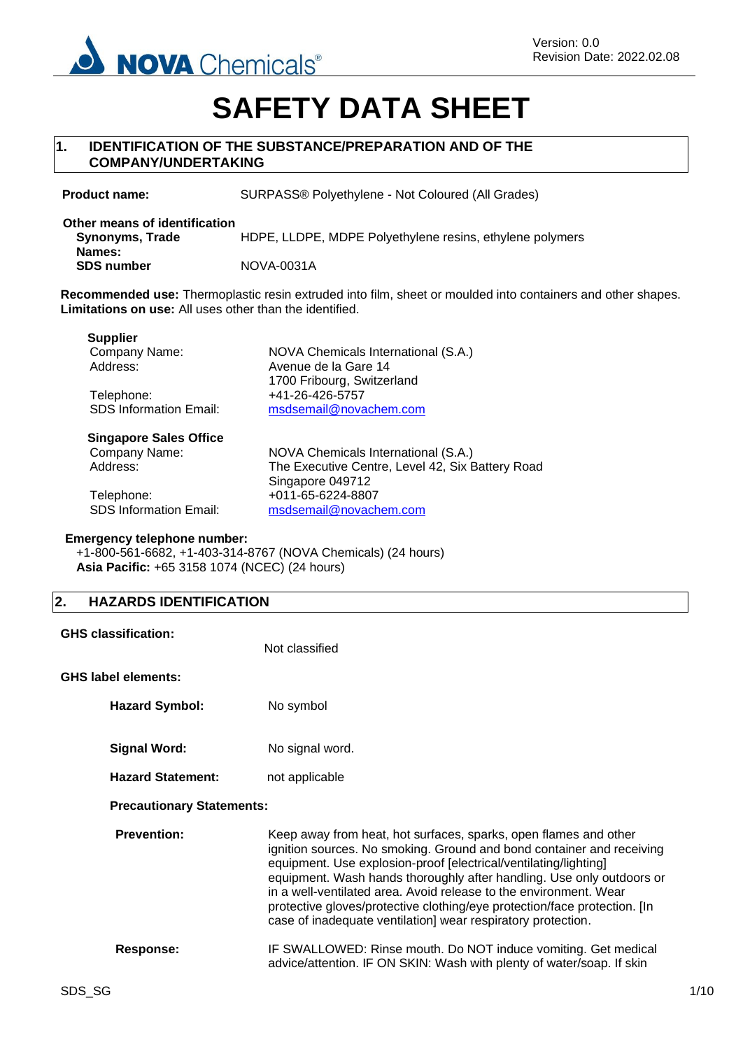

# **SAFETY DATA SHEET**

## **1. IDENTIFICATION OF THE SUBSTANCE/PREPARATION AND OF THE COMPANY/UNDERTAKING**

**Product name:** SURPASS® Polyethylene - Not Coloured (All Grades)

| Other means of identification<br>Synonyms, Trade | HDPE, LLDPE, MDPE Polyethylene resins, ethylene polymers |
|--------------------------------------------------|----------------------------------------------------------|
| Names:<br><b>SDS number</b>                      | NOVA-0031A                                               |

**Recommended use:** Thermoplastic resin extruded into film, sheet or moulded into containers and other shapes. **Limitations on use:** All uses other than the identified.

| <b>Supplier</b>               |                                                    |
|-------------------------------|----------------------------------------------------|
| Company Name:                 | NOVA Chemicals International (S.A.)                |
| Address:                      | Avenue de la Gare 14<br>1700 Fribourg, Switzerland |
| Telephone:                    | +41-26-426-5757                                    |
| <b>SDS Information Email:</b> | msdsemail@novachem.com                             |
| <b>Singapore Sales Office</b> |                                                    |
| Company Name:                 | NOVA Chemicals International (S.A.)                |
| Address:                      | The Executive Centre, Level 42, Six Battery Road   |
|                               | Singapore 049712                                   |
| Telephone:                    | +011-65-6224-8807                                  |
| <b>SDS Information Email:</b> | msdsemail@novachem.com                             |

#### **Emergency telephone number:**

+1-800-561-6682, +1-403-314-8767 (NOVA Chemicals) (24 hours) **Asia Pacific:** +65 3158 1074 (NCEC) (24 hours)

## **2. HAZARDS IDENTIFICATION**

|                                  | <b>GHS classification:</b> | Not classified                                                                                                                                                                                                                                                                                                                                                                                                                                                                                           |
|----------------------------------|----------------------------|----------------------------------------------------------------------------------------------------------------------------------------------------------------------------------------------------------------------------------------------------------------------------------------------------------------------------------------------------------------------------------------------------------------------------------------------------------------------------------------------------------|
|                                  | <b>GHS label elements:</b> |                                                                                                                                                                                                                                                                                                                                                                                                                                                                                                          |
|                                  | <b>Hazard Symbol:</b>      | No symbol                                                                                                                                                                                                                                                                                                                                                                                                                                                                                                |
|                                  | <b>Signal Word:</b>        | No signal word.                                                                                                                                                                                                                                                                                                                                                                                                                                                                                          |
|                                  | <b>Hazard Statement:</b>   | not applicable                                                                                                                                                                                                                                                                                                                                                                                                                                                                                           |
| <b>Precautionary Statements:</b> |                            |                                                                                                                                                                                                                                                                                                                                                                                                                                                                                                          |
|                                  | <b>Prevention:</b>         | Keep away from heat, hot surfaces, sparks, open flames and other<br>ignition sources. No smoking. Ground and bond container and receiving<br>equipment. Use explosion-proof [electrical/ventilating/lighting]<br>equipment. Wash hands thoroughly after handling. Use only outdoors or<br>in a well-ventilated area. Avoid release to the environment. Wear<br>protective gloves/protective clothing/eye protection/face protection. [In<br>case of inadequate ventilation] wear respiratory protection. |
|                                  | Response:                  | IF SWALLOWED: Rinse mouth. Do NOT induce vomiting. Get medical<br>advice/attention. IF ON SKIN: Wash with plenty of water/soap. If skin                                                                                                                                                                                                                                                                                                                                                                  |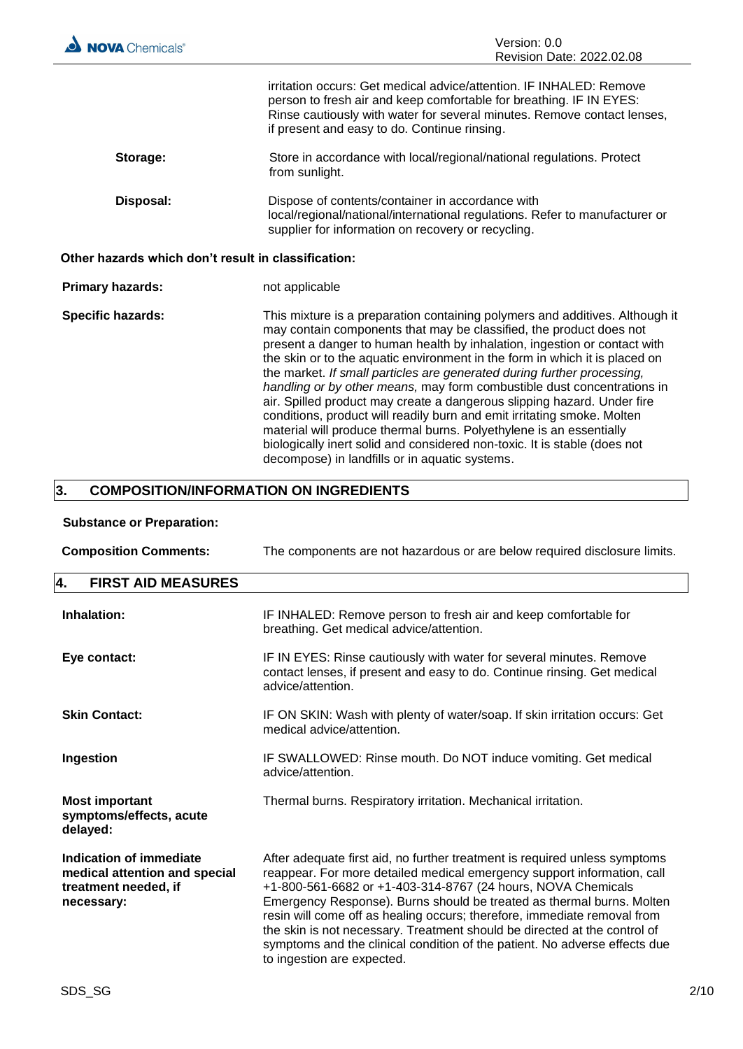| <b>NOVA</b> Chemicals®                              | Version: 0.0<br>Revision Date: 2022.02.08                                                                                                                                                                                                                                                                                                                                                                                                                                                                                                                                                                                                                                                                                                                                                                                         |
|-----------------------------------------------------|-----------------------------------------------------------------------------------------------------------------------------------------------------------------------------------------------------------------------------------------------------------------------------------------------------------------------------------------------------------------------------------------------------------------------------------------------------------------------------------------------------------------------------------------------------------------------------------------------------------------------------------------------------------------------------------------------------------------------------------------------------------------------------------------------------------------------------------|
|                                                     | irritation occurs: Get medical advice/attention. IF INHALED: Remove<br>person to fresh air and keep comfortable for breathing. IF IN EYES:<br>Rinse cautiously with water for several minutes. Remove contact lenses,<br>if present and easy to do. Continue rinsing.                                                                                                                                                                                                                                                                                                                                                                                                                                                                                                                                                             |
| Storage:                                            | Store in accordance with local/regional/national regulations. Protect<br>from sunlight.                                                                                                                                                                                                                                                                                                                                                                                                                                                                                                                                                                                                                                                                                                                                           |
| Disposal:                                           | Dispose of contents/container in accordance with<br>local/regional/national/international regulations. Refer to manufacturer or<br>supplier for information on recovery or recycling.                                                                                                                                                                                                                                                                                                                                                                                                                                                                                                                                                                                                                                             |
| Other hazards which don't result in classification: |                                                                                                                                                                                                                                                                                                                                                                                                                                                                                                                                                                                                                                                                                                                                                                                                                                   |
| <b>Primary hazards:</b>                             | not applicable                                                                                                                                                                                                                                                                                                                                                                                                                                                                                                                                                                                                                                                                                                                                                                                                                    |
| <b>Specific hazards:</b>                            | This mixture is a preparation containing polymers and additives. Although it<br>may contain components that may be classified, the product does not<br>present a danger to human health by inhalation, ingestion or contact with<br>the skin or to the aquatic environment in the form in which it is placed on<br>the market. If small particles are generated during further processing,<br>handling or by other means, may form combustible dust concentrations in<br>air. Spilled product may create a dangerous slipping hazard. Under fire<br>conditions, product will readily burn and emit irritating smoke. Molten<br>material will produce thermal burns. Polyethylene is an essentially<br>biologically inert solid and considered non-toxic. It is stable (does not<br>decompose) in landfills or in aquatic systems. |
| 3.                                                  | <b>COMPOSITION/INFORMATION ON INGREDIENTS</b>                                                                                                                                                                                                                                                                                                                                                                                                                                                                                                                                                                                                                                                                                                                                                                                     |

## **Substance or Preparation:**

| <b>Composition Comments:</b>                                                                          | The components are not hazardous or are below required disclosure limits.                                                                                                                                                                                                                                                                                                                                                                                                                                                                                           |  |
|-------------------------------------------------------------------------------------------------------|---------------------------------------------------------------------------------------------------------------------------------------------------------------------------------------------------------------------------------------------------------------------------------------------------------------------------------------------------------------------------------------------------------------------------------------------------------------------------------------------------------------------------------------------------------------------|--|
| 4.<br><b>FIRST AID MEASURES</b>                                                                       |                                                                                                                                                                                                                                                                                                                                                                                                                                                                                                                                                                     |  |
| Inhalation:                                                                                           | IF INHALED: Remove person to fresh air and keep comfortable for<br>breathing. Get medical advice/attention.                                                                                                                                                                                                                                                                                                                                                                                                                                                         |  |
| Eye contact:                                                                                          | IF IN EYES: Rinse cautiously with water for several minutes. Remove<br>contact lenses, if present and easy to do. Continue rinsing. Get medical<br>advice/attention.                                                                                                                                                                                                                                                                                                                                                                                                |  |
| <b>Skin Contact:</b>                                                                                  | IF ON SKIN: Wash with plenty of water/soap. If skin irritation occurs: Get<br>medical advice/attention.                                                                                                                                                                                                                                                                                                                                                                                                                                                             |  |
| Ingestion                                                                                             | IF SWALLOWED: Rinse mouth. Do NOT induce vomiting. Get medical<br>advice/attention.                                                                                                                                                                                                                                                                                                                                                                                                                                                                                 |  |
| <b>Most important</b><br>symptoms/effects, acute<br>delayed:                                          | Thermal burns. Respiratory irritation. Mechanical irritation.                                                                                                                                                                                                                                                                                                                                                                                                                                                                                                       |  |
| <b>Indication of immediate</b><br>medical attention and special<br>treatment needed, if<br>necessary: | After adequate first aid, no further treatment is required unless symptoms<br>reappear. For more detailed medical emergency support information, call<br>+1-800-561-6682 or +1-403-314-8767 (24 hours, NOVA Chemicals<br>Emergency Response). Burns should be treated as thermal burns. Molten<br>resin will come off as healing occurs; therefore, immediate removal from<br>the skin is not necessary. Treatment should be directed at the control of<br>symptoms and the clinical condition of the patient. No adverse effects due<br>to ingestion are expected. |  |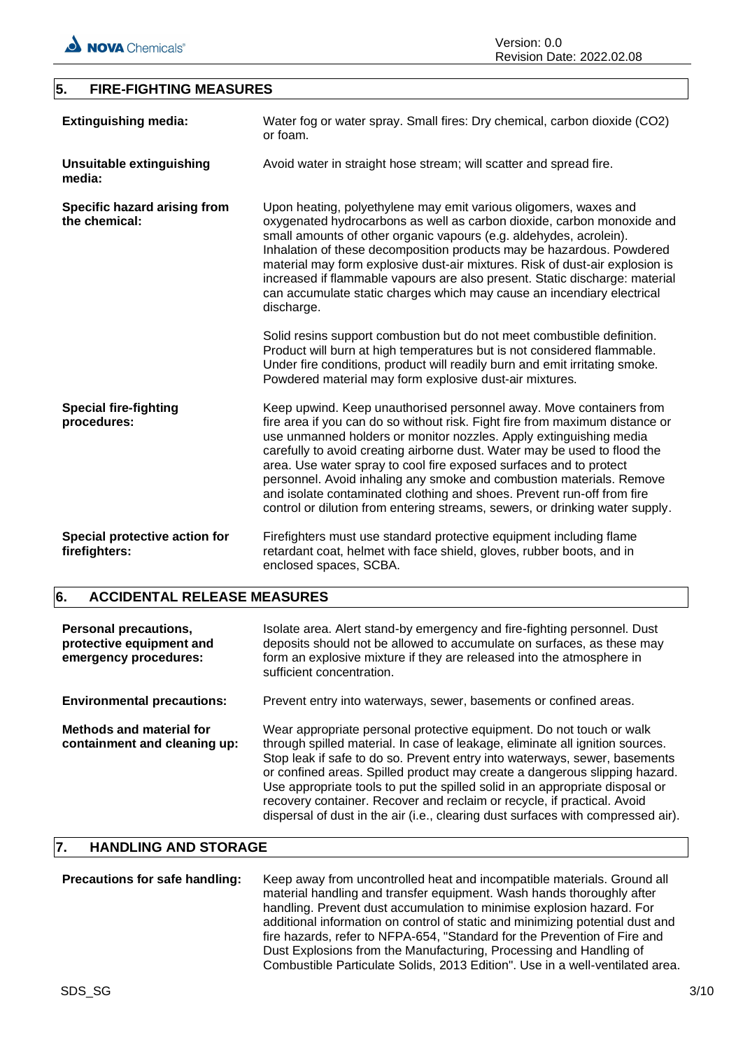

## **5. FIRE-FIGHTING MEASURES**

| <b>Extinguishing media:</b>                    | Water fog or water spray. Small fires: Dry chemical, carbon dioxide (CO2)<br>or foam.                                                                                                                                                                                                                                                                                                                                                                                                                                                                                                                          |
|------------------------------------------------|----------------------------------------------------------------------------------------------------------------------------------------------------------------------------------------------------------------------------------------------------------------------------------------------------------------------------------------------------------------------------------------------------------------------------------------------------------------------------------------------------------------------------------------------------------------------------------------------------------------|
| Unsuitable extinguishing<br>media:             | Avoid water in straight hose stream; will scatter and spread fire.                                                                                                                                                                                                                                                                                                                                                                                                                                                                                                                                             |
| Specific hazard arising from<br>the chemical:  | Upon heating, polyethylene may emit various oligomers, waxes and<br>oxygenated hydrocarbons as well as carbon dioxide, carbon monoxide and<br>small amounts of other organic vapours (e.g. aldehydes, acrolein).<br>Inhalation of these decomposition products may be hazardous. Powdered<br>material may form explosive dust-air mixtures. Risk of dust-air explosion is<br>increased if flammable vapours are also present. Static discharge: material<br>can accumulate static charges which may cause an incendiary electrical<br>discharge.                                                               |
|                                                | Solid resins support combustion but do not meet combustible definition.<br>Product will burn at high temperatures but is not considered flammable.<br>Under fire conditions, product will readily burn and emit irritating smoke.<br>Powdered material may form explosive dust-air mixtures.                                                                                                                                                                                                                                                                                                                   |
| <b>Special fire-fighting</b><br>procedures:    | Keep upwind. Keep unauthorised personnel away. Move containers from<br>fire area if you can do so without risk. Fight fire from maximum distance or<br>use unmanned holders or monitor nozzles. Apply extinguishing media<br>carefully to avoid creating airborne dust. Water may be used to flood the<br>area. Use water spray to cool fire exposed surfaces and to protect<br>personnel. Avoid inhaling any smoke and combustion materials. Remove<br>and isolate contaminated clothing and shoes. Prevent run-off from fire<br>control or dilution from entering streams, sewers, or drinking water supply. |
| Special protective action for<br>firefighters: | Firefighters must use standard protective equipment including flame<br>retardant coat, helmet with face shield, gloves, rubber boots, and in<br>enclosed spaces, SCBA.                                                                                                                                                                                                                                                                                                                                                                                                                                         |

## **6. ACCIDENTAL RELEASE MEASURES**

| <b>Personal precautions,</b><br>protective equipment and<br>emergency procedures: | Isolate area. Alert stand-by emergency and fire-fighting personnel. Dust<br>deposits should not be allowed to accumulate on surfaces, as these may<br>form an explosive mixture if they are released into the atmosphere in<br>sufficient concentration.                                                                                                                                                                                                                                                                                                         |
|-----------------------------------------------------------------------------------|------------------------------------------------------------------------------------------------------------------------------------------------------------------------------------------------------------------------------------------------------------------------------------------------------------------------------------------------------------------------------------------------------------------------------------------------------------------------------------------------------------------------------------------------------------------|
| <b>Environmental precautions:</b>                                                 | Prevent entry into waterways, sewer, basements or confined areas.                                                                                                                                                                                                                                                                                                                                                                                                                                                                                                |
| Methods and material for<br>containment and cleaning up:                          | Wear appropriate personal protective equipment. Do not touch or walk<br>through spilled material. In case of leakage, eliminate all ignition sources.<br>Stop leak if safe to do so. Prevent entry into waterways, sewer, basements<br>or confined areas. Spilled product may create a dangerous slipping hazard.<br>Use appropriate tools to put the spilled solid in an appropriate disposal or<br>recovery container. Recover and reclaim or recycle, if practical. Avoid<br>dispersal of dust in the air (i.e., clearing dust surfaces with compressed air). |

## **7. HANDLING AND STORAGE**

| Precautions for safe handling: | Keep away from uncontrolled heat and incompatible materials. Ground all<br>material handling and transfer equipment. Wash hands thoroughly after<br>handling. Prevent dust accumulation to minimise explosion hazard. For<br>additional information on control of static and minimizing potential dust and |
|--------------------------------|------------------------------------------------------------------------------------------------------------------------------------------------------------------------------------------------------------------------------------------------------------------------------------------------------------|
|                                | fire hazards, refer to NFPA-654, "Standard for the Prevention of Fire and<br>Dust Explosions from the Manufacturing, Processing and Handling of                                                                                                                                                            |
|                                | Combustible Particulate Solids, 2013 Edition". Use in a well-ventilated area.                                                                                                                                                                                                                              |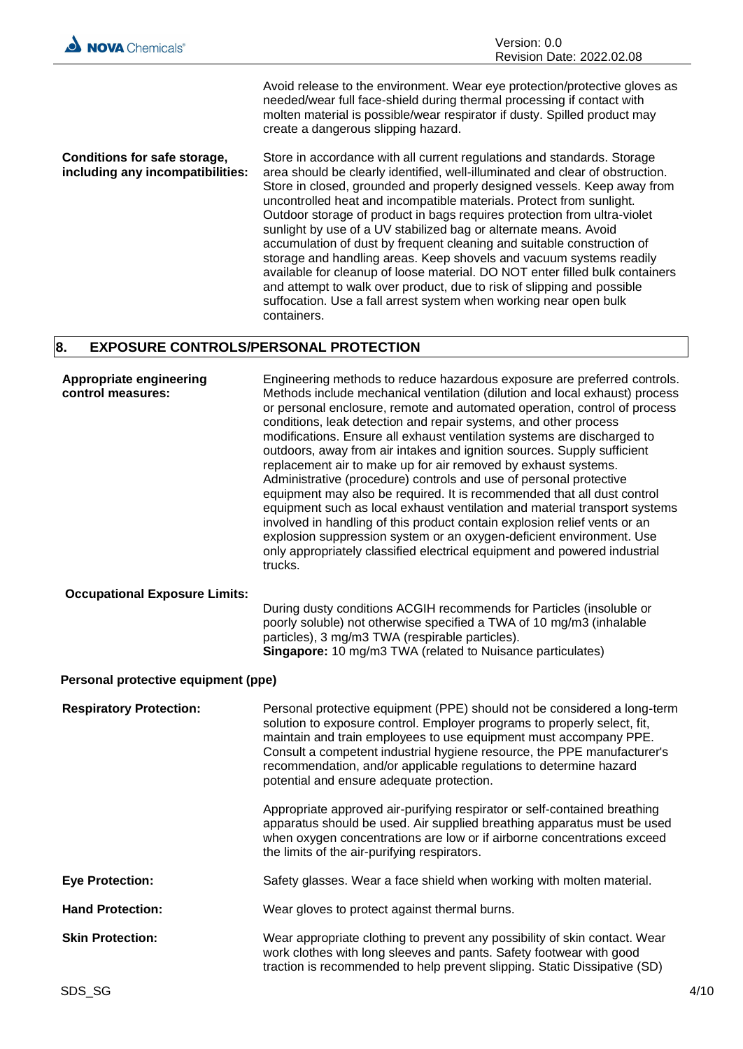

Avoid release to the environment. Wear eye protection/protective gloves as needed/wear full face-shield during thermal processing if contact with molten material is possible/wear respirator if dusty. Spilled product may create a dangerous slipping hazard.

**Conditions for safe storage, including any incompatibilities:** Store in accordance with all current regulations and standards. Storage area should be clearly identified, well-illuminated and clear of obstruction. Store in closed, grounded and properly designed vessels. Keep away from uncontrolled heat and incompatible materials. Protect from sunlight. Outdoor storage of product in bags requires protection from ultra-violet sunlight by use of a UV stabilized bag or alternate means. Avoid accumulation of dust by frequent cleaning and suitable construction of storage and handling areas. Keep shovels and vacuum systems readily available for cleanup of loose material. DO NOT enter filled bulk containers and attempt to walk over product, due to risk of slipping and possible suffocation. Use a fall arrest system when working near open bulk containers.

## **8. EXPOSURE CONTROLS/PERSONAL PROTECTION**

| Appropriate engineering<br>control measures: | Engineering methods to reduce hazardous exposure are preferred controls.<br>Methods include mechanical ventilation (dilution and local exhaust) process<br>or personal enclosure, remote and automated operation, control of process<br>conditions, leak detection and repair systems, and other process<br>modifications. Ensure all exhaust ventilation systems are discharged to<br>outdoors, away from air intakes and ignition sources. Supply sufficient<br>replacement air to make up for air removed by exhaust systems.<br>Administrative (procedure) controls and use of personal protective<br>equipment may also be required. It is recommended that all dust control<br>equipment such as local exhaust ventilation and material transport systems<br>involved in handling of this product contain explosion relief vents or an<br>explosion suppression system or an oxygen-deficient environment. Use<br>only appropriately classified electrical equipment and powered industrial<br>trucks. |
|----------------------------------------------|--------------------------------------------------------------------------------------------------------------------------------------------------------------------------------------------------------------------------------------------------------------------------------------------------------------------------------------------------------------------------------------------------------------------------------------------------------------------------------------------------------------------------------------------------------------------------------------------------------------------------------------------------------------------------------------------------------------------------------------------------------------------------------------------------------------------------------------------------------------------------------------------------------------------------------------------------------------------------------------------------------------|
| <b>Occupational Exposure Limits:</b>         | During dusty conditions ACGIH recommends for Particles (insoluble or<br>poorly soluble) not otherwise specified a TWA of 10 mg/m3 (inhalable<br>particles), 3 mg/m3 TWA (respirable particles).<br>Singapore: 10 mg/m3 TWA (related to Nuisance particulates)                                                                                                                                                                                                                                                                                                                                                                                                                                                                                                                                                                                                                                                                                                                                                |
| Personal protective equipment (ppe)          |                                                                                                                                                                                                                                                                                                                                                                                                                                                                                                                                                                                                                                                                                                                                                                                                                                                                                                                                                                                                              |
| <b>Respiratory Protection:</b>               | Personal protective equipment (PPE) should not be considered a long-term<br>solution to exposure control. Employer programs to properly select, fit,<br>maintain and train employees to use equipment must accompany PPE.<br>Consult a competent industrial hygiene resource, the PPE manufacturer's<br>recommendation, and/or applicable regulations to determine hazard<br>potential and ensure adequate protection.                                                                                                                                                                                                                                                                                                                                                                                                                                                                                                                                                                                       |
|                                              | Appropriate approved air-purifying respirator or self-contained breathing<br>apparatus should be used. Air supplied breathing apparatus must be used<br>when oxygen concentrations are low or if airborne concentrations exceed<br>the limits of the air-purifying respirators.                                                                                                                                                                                                                                                                                                                                                                                                                                                                                                                                                                                                                                                                                                                              |
| <b>Eye Protection:</b>                       | Safety glasses. Wear a face shield when working with molten material.                                                                                                                                                                                                                                                                                                                                                                                                                                                                                                                                                                                                                                                                                                                                                                                                                                                                                                                                        |
| <b>Hand Protection:</b>                      | Wear gloves to protect against thermal burns.                                                                                                                                                                                                                                                                                                                                                                                                                                                                                                                                                                                                                                                                                                                                                                                                                                                                                                                                                                |
| <b>Skin Protection:</b>                      | Wear appropriate clothing to prevent any possibility of skin contact. Wear<br>work clothes with long sleeves and pants. Safety footwear with good<br>traction is recommended to help prevent slipping. Static Dissipative (SD)                                                                                                                                                                                                                                                                                                                                                                                                                                                                                                                                                                                                                                                                                                                                                                               |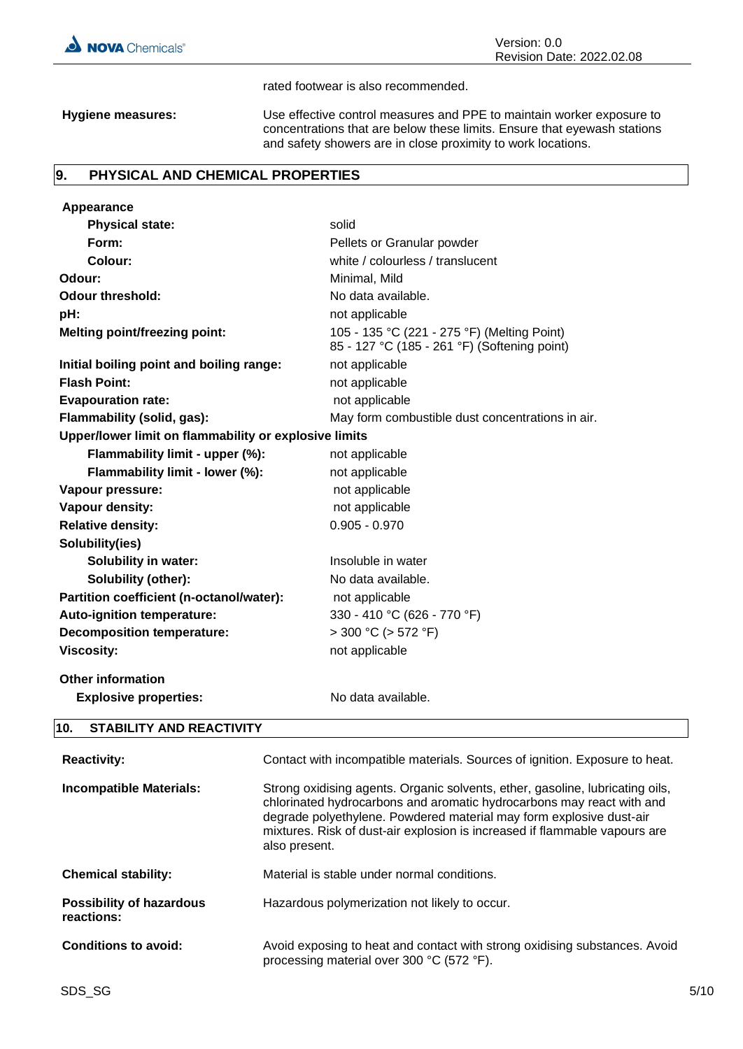

#### rated footwear is also recommended.

**Hygiene measures:** Use effective control measures and PPE to maintain worker exposure to concentrations that are below these limits. Ensure that eyewash stations and safety showers are in close proximity to work locations.

### **9. PHYSICAL AND CHEMICAL PROPERTIES**

| Appearance                                            |                                                                                             |  |
|-------------------------------------------------------|---------------------------------------------------------------------------------------------|--|
| <b>Physical state:</b>                                | solid                                                                                       |  |
| Form:                                                 | Pellets or Granular powder                                                                  |  |
| Colour:                                               | white / colourless / translucent                                                            |  |
| Odour:                                                | Minimal, Mild                                                                               |  |
| <b>Odour threshold:</b>                               | No data available.                                                                          |  |
| pH:                                                   | not applicable                                                                              |  |
| <b>Melting point/freezing point:</b>                  | 105 - 135 °C (221 - 275 °F) (Melting Point)<br>85 - 127 °C (185 - 261 °F) (Softening point) |  |
| Initial boiling point and boiling range:              | not applicable                                                                              |  |
| <b>Flash Point:</b>                                   | not applicable                                                                              |  |
| <b>Evapouration rate:</b>                             | not applicable                                                                              |  |
| Flammability (solid, gas):                            | May form combustible dust concentrations in air.                                            |  |
| Upper/lower limit on flammability or explosive limits |                                                                                             |  |
| Flammability limit - upper (%):                       | not applicable                                                                              |  |
| Flammability limit - lower (%):                       | not applicable                                                                              |  |
| Vapour pressure:                                      | not applicable                                                                              |  |
| Vapour density:                                       | not applicable                                                                              |  |
| <b>Relative density:</b>                              | $0.905 - 0.970$                                                                             |  |
| Solubility(ies)                                       |                                                                                             |  |
| <b>Solubility in water:</b>                           | Insoluble in water                                                                          |  |
| Solubility (other):                                   | No data available.                                                                          |  |
| Partition coefficient (n-octanol/water):              | not applicable                                                                              |  |
| Auto-ignition temperature:                            | 330 - 410 °C (626 - 770 °F)                                                                 |  |
| <b>Decomposition temperature:</b>                     | $>$ 300 °C ( $>$ 572 °F)                                                                    |  |
| <b>Viscosity:</b>                                     | not applicable                                                                              |  |
| <b>Other information</b>                              |                                                                                             |  |
| <b>Explosive properties:</b>                          | No data available.                                                                          |  |
| 10.<br><b>STABILITY AND REACTIVITY</b>                |                                                                                             |  |
| <b>Reactivity:</b>                                    | Contact with incompatible materials. Sources of ignition. Exposure to heat.                 |  |
| الملمامية والملاح والمائد والمستوات والمراجع          | Chrono o cidiologo popula Organia policente, ethno populina, lubricativa pila               |  |

**Incompatible Materials:** Strong oxidising agents. Organic solvents, ether, gasoline, lubricating oils, chlorinated hydrocarbons and aromatic hydrocarbons may react with and degrade polyethylene. Powdered material may form explosive dust-air mixtures. Risk of dust-air explosion is increased if flammable vapours are also present.

Hazardous polymerization not likely to occur.

processing material over 300 °C (572 °F).

**Possibility of hazardous reactions:**

**Chemical stability:** Material is stable under normal conditions.

**Conditions to avoid:** Avoid exposing to heat and contact with strong oxidising substances. Avoid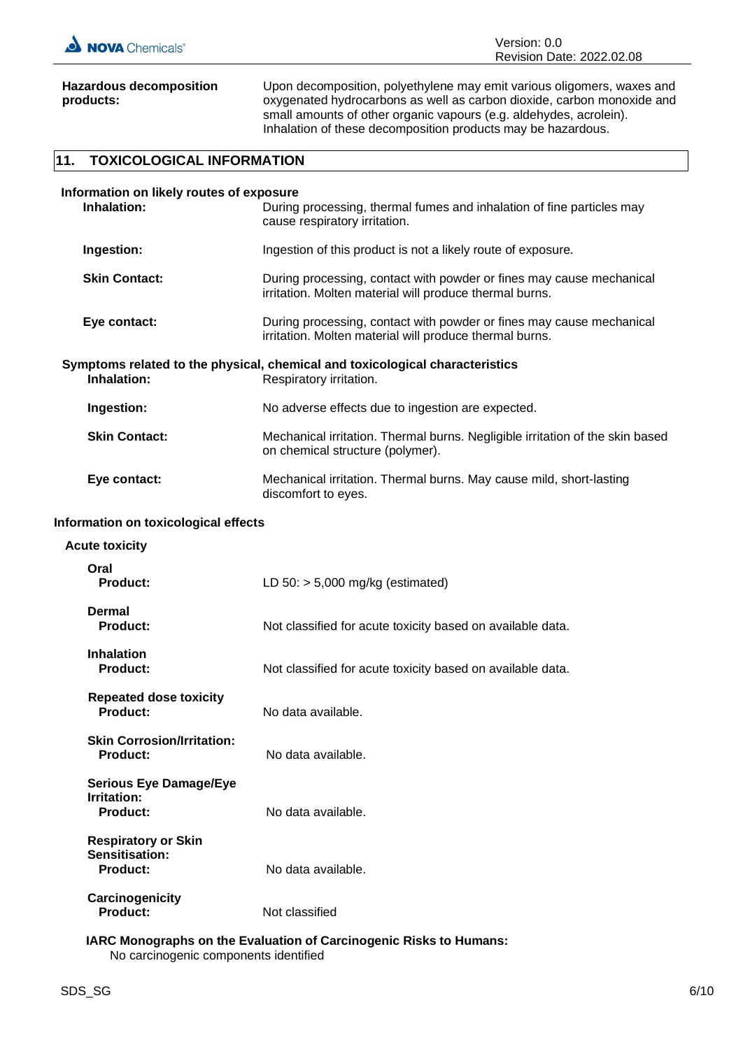

**Hazardous decomposition products:**

Upon decomposition, polyethylene may emit various oligomers, waxes and oxygenated hydrocarbons as well as carbon dioxide, carbon monoxide and small amounts of other organic vapours (e.g. aldehydes, acrolein). Inhalation of these decomposition products may be hazardous.

## **11. TOXICOLOGICAL INFORMATION**

| Information on likely routes of exposure<br>Inhalation:<br>During processing, thermal fumes and inhalation of fine particles may<br>cause respiratory irritation. |                                                                                                                                 |  |
|-------------------------------------------------------------------------------------------------------------------------------------------------------------------|---------------------------------------------------------------------------------------------------------------------------------|--|
| Ingestion:                                                                                                                                                        | Ingestion of this product is not a likely route of exposure.                                                                    |  |
| <b>Skin Contact:</b>                                                                                                                                              | During processing, contact with powder or fines may cause mechanical<br>irritation. Molten material will produce thermal burns. |  |
| Eye contact:                                                                                                                                                      | During processing, contact with powder or fines may cause mechanical<br>irritation. Molten material will produce thermal burns. |  |
| Inhalation:                                                                                                                                                       | Symptoms related to the physical, chemical and toxicological characteristics<br>Respiratory irritation.                         |  |
| Ingestion:                                                                                                                                                        | No adverse effects due to ingestion are expected.                                                                               |  |
| <b>Skin Contact:</b>                                                                                                                                              | Mechanical irritation. Thermal burns. Negligible irritation of the skin based<br>on chemical structure (polymer).               |  |
| Eye contact:                                                                                                                                                      | Mechanical irritation. Thermal burns. May cause mild, short-lasting<br>discomfort to eyes.                                      |  |
| Information on toxicological effects                                                                                                                              |                                                                                                                                 |  |
| <b>Acute toxicity</b>                                                                                                                                             |                                                                                                                                 |  |
| Oral<br><b>Product:</b>                                                                                                                                           | LD $50:$ > 5,000 mg/kg (estimated)                                                                                              |  |
| <b>Dermal</b>                                                                                                                                                     |                                                                                                                                 |  |

**Product:** Not classified for acute toxicity based on available data.

**Product:** Not classified for acute toxicity based on available data.

| <b>Repeated dose toxicity</b><br>Product:                       | No data available. |
|-----------------------------------------------------------------|--------------------|
| <b>Skin Corrosion/Irritation:</b><br>Product:                   | No data available. |
| <b>Serious Eye Damage/Eye</b><br>Irritation:<br><b>Product:</b> | No data available. |
| <b>Respiratory or Skin</b><br>Sensitisation:<br>Product:        | No data available. |
| Carcinogenicity                                                 |                    |

 **IARC Monographs on the Evaluation of Carcinogenic Risks to Humans:**

No carcinogenic components identified

**Product:** Not classified

**Inhalation**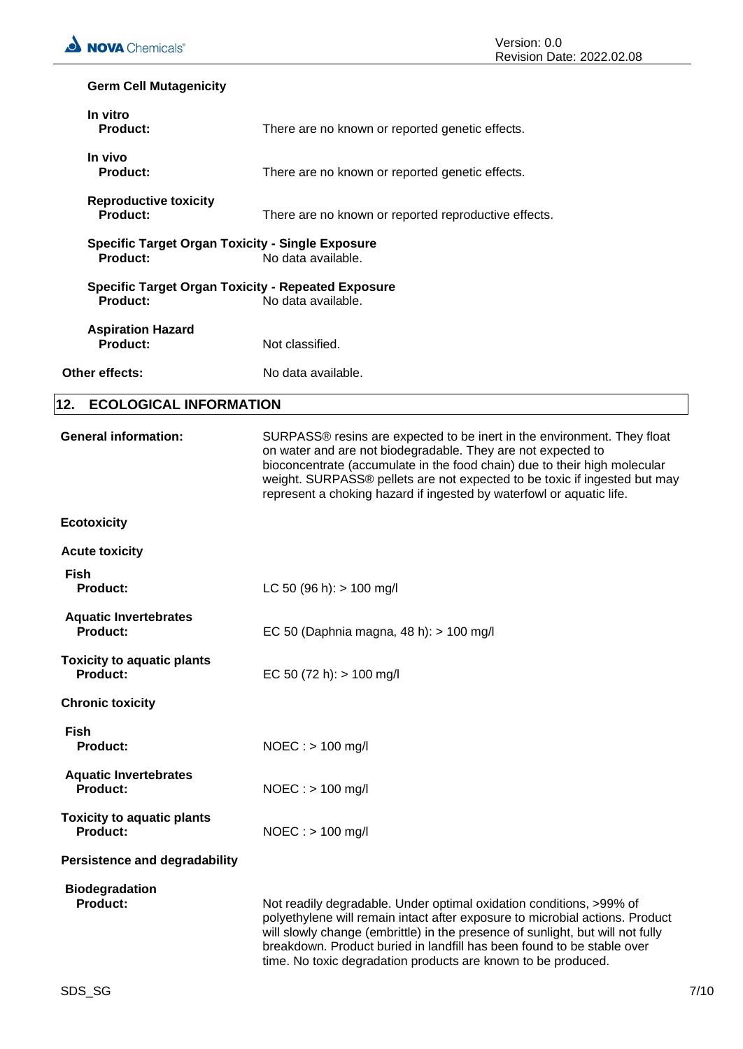## **Germ Cell Mutagenicity**

| In vitro<br><b>Product:</b>                                                                 | There are no known or reported genetic effects.                                                                                                                                                                                                                                                                                                                                  |  |
|---------------------------------------------------------------------------------------------|----------------------------------------------------------------------------------------------------------------------------------------------------------------------------------------------------------------------------------------------------------------------------------------------------------------------------------------------------------------------------------|--|
| In vivo<br>Product:                                                                         | There are no known or reported genetic effects.                                                                                                                                                                                                                                                                                                                                  |  |
| <b>Reproductive toxicity</b><br>Product:                                                    | There are no known or reported reproductive effects.                                                                                                                                                                                                                                                                                                                             |  |
| <b>Specific Target Organ Toxicity - Single Exposure</b><br>Product:                         | No data available.                                                                                                                                                                                                                                                                                                                                                               |  |
| <b>Specific Target Organ Toxicity - Repeated Exposure</b><br>Product:<br>No data available. |                                                                                                                                                                                                                                                                                                                                                                                  |  |
| <b>Aspiration Hazard</b><br>Product:                                                        | Not classified.                                                                                                                                                                                                                                                                                                                                                                  |  |
| Other effects:                                                                              | No data available.                                                                                                                                                                                                                                                                                                                                                               |  |
| <b>ECOLOGICAL INFORMATION</b><br>12.                                                        |                                                                                                                                                                                                                                                                                                                                                                                  |  |
| <b>General information:</b>                                                                 | SURPASS® resins are expected to be inert in the environment. They float<br>on water and are not biodegradable. They are not expected to<br>bioconcentrate (accumulate in the food chain) due to their high molecular<br>weight. SURPASS® pellets are not expected to be toxic if ingested but may<br>represent a choking hazard if ingested by waterfowl or aquatic life.        |  |
| <b>Ecotoxicity</b>                                                                          |                                                                                                                                                                                                                                                                                                                                                                                  |  |
| <b>Acute toxicity</b>                                                                       |                                                                                                                                                                                                                                                                                                                                                                                  |  |
| <b>Fish</b><br><b>Product:</b>                                                              | LC 50 (96 h): $> 100$ mg/l                                                                                                                                                                                                                                                                                                                                                       |  |
| <b>Aquatic Invertebrates</b><br><b>Product:</b>                                             | EC 50 (Daphnia magna, 48 h): > 100 mg/l                                                                                                                                                                                                                                                                                                                                          |  |
| <b>Toxicity to aquatic plants</b><br><b>Product:</b>                                        | EC 50 (72 h): $> 100$ mg/l                                                                                                                                                                                                                                                                                                                                                       |  |
| <b>Chronic toxicity</b>                                                                     |                                                                                                                                                                                                                                                                                                                                                                                  |  |
| <b>Fish</b><br><b>Product:</b>                                                              | $NOEC : > 100$ mg/l                                                                                                                                                                                                                                                                                                                                                              |  |
| <b>Aquatic Invertebrates</b><br><b>Product:</b>                                             | $NOEC :$ > 100 mg/l                                                                                                                                                                                                                                                                                                                                                              |  |
| <b>Toxicity to aquatic plants</b><br><b>Product:</b>                                        | $NOEC : > 100$ mg/l                                                                                                                                                                                                                                                                                                                                                              |  |
| <b>Persistence and degradability</b>                                                        |                                                                                                                                                                                                                                                                                                                                                                                  |  |
| <b>Biodegradation</b><br><b>Product:</b>                                                    | Not readily degradable. Under optimal oxidation conditions, >99% of<br>polyethylene will remain intact after exposure to microbial actions. Product<br>will slowly change (embrittle) in the presence of sunlight, but will not fully<br>breakdown. Product buried in landfill has been found to be stable over<br>time. No toxic degradation products are known to be produced. |  |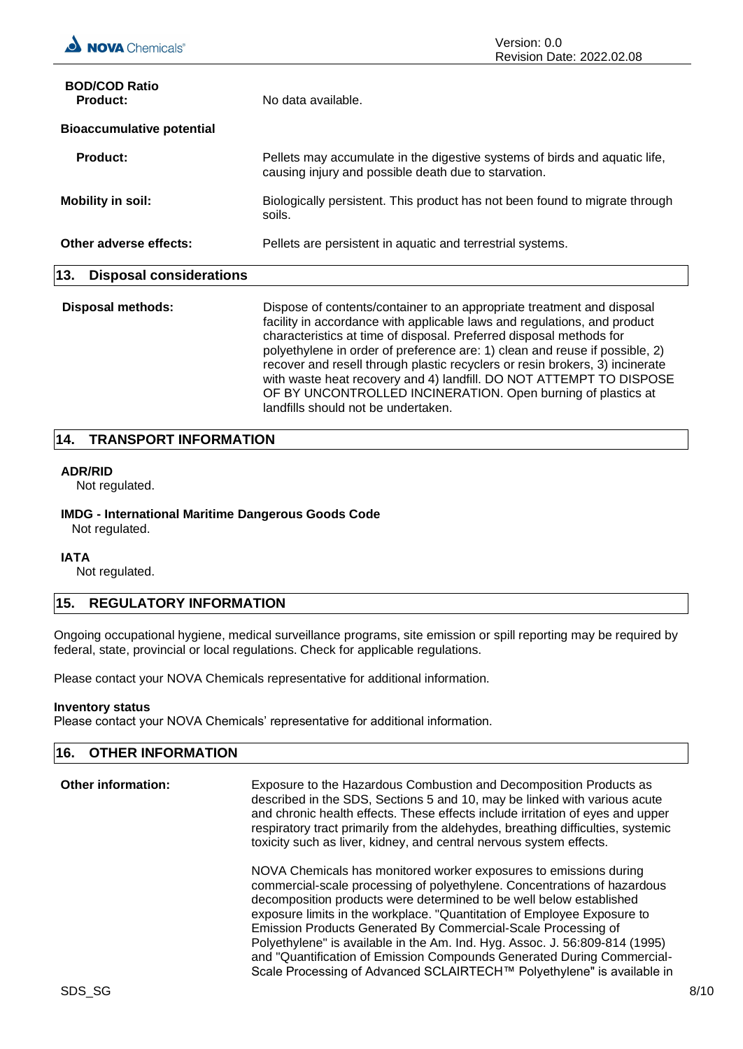| <b>BOD/COD Ratio</b><br><b>Product:</b> | No data available.                                                                                                                                                                                                        |
|-----------------------------------------|---------------------------------------------------------------------------------------------------------------------------------------------------------------------------------------------------------------------------|
| <b>Bioaccumulative potential</b>        |                                                                                                                                                                                                                           |
| <b>Product:</b>                         | Pellets may accumulate in the digestive systems of birds and aquatic life,<br>causing injury and possible death due to starvation.                                                                                        |
| <b>Mobility in soil:</b>                | Biologically persistent. This product has not been found to migrate through<br>soils.                                                                                                                                     |
| Other adverse effects:                  | Pellets are persistent in aquatic and terrestrial systems.                                                                                                                                                                |
| 13.<br><b>Disposal considerations</b>   |                                                                                                                                                                                                                           |
| <b>Disposal methods:</b>                | Dispose of contents/container to an appropriate treatment and disposal<br>facility in accordance with applicable laws and regulations, and product<br>characteristics at time of disposal. Preferred disposal methods for |

polyethylene in order of preference are: 1) clean and reuse if possible, 2) recover and resell through plastic recyclers or resin brokers, 3) incinerate with waste heat recovery and 4) landfill. DO NOT ATTEMPT TO DISPOSE OF BY UNCONTROLLED INCINERATION. Open burning of plastics at landfills should not be undertaken.

## **14. TRANSPORT INFORMATION**

#### **ADR/RID**

Not regulated.

## **IMDG - International Maritime Dangerous Goods Code**

Not regulated.

#### **IATA**

Not regulated.

## **15. REGULATORY INFORMATION**

Ongoing occupational hygiene, medical surveillance programs, site emission or spill reporting may be required by federal, state, provincial or local regulations. Check for applicable regulations.

Please contact your NOVA Chemicals representative for additional information.

#### **Inventory status**

Please contact your NOVA Chemicals' representative for additional information.

| 16. OTHER INFORMATION |                                                                                                                                                                  |
|-----------------------|------------------------------------------------------------------------------------------------------------------------------------------------------------------|
| Other information:    | Exposure to the Hazardous Combustion and Decomposition Products as<br>state and the their ODO. Operations Franch AO means the Buller during containing a contain |

described in the SDS, Sections 5 and 10, may be linked with various acute and chronic health effects. These effects include irritation of eyes and upper respiratory tract primarily from the aldehydes, breathing difficulties, systemic toxicity such as liver, kidney, and central nervous system effects.

NOVA Chemicals has monitored worker exposures to emissions during commercial-scale processing of polyethylene. Concentrations of hazardous decomposition products were determined to be well below established exposure limits in the workplace. "Quantitation of Employee Exposure to Emission Products Generated By Commercial-Scale Processing of Polyethylene" is available in the Am. Ind. Hyg. Assoc. J. 56:809-814 (1995) and "Quantification of Emission Compounds Generated During Commercial-Scale Processing of Advanced SCLAIRTECH™ Polyethylene" is available in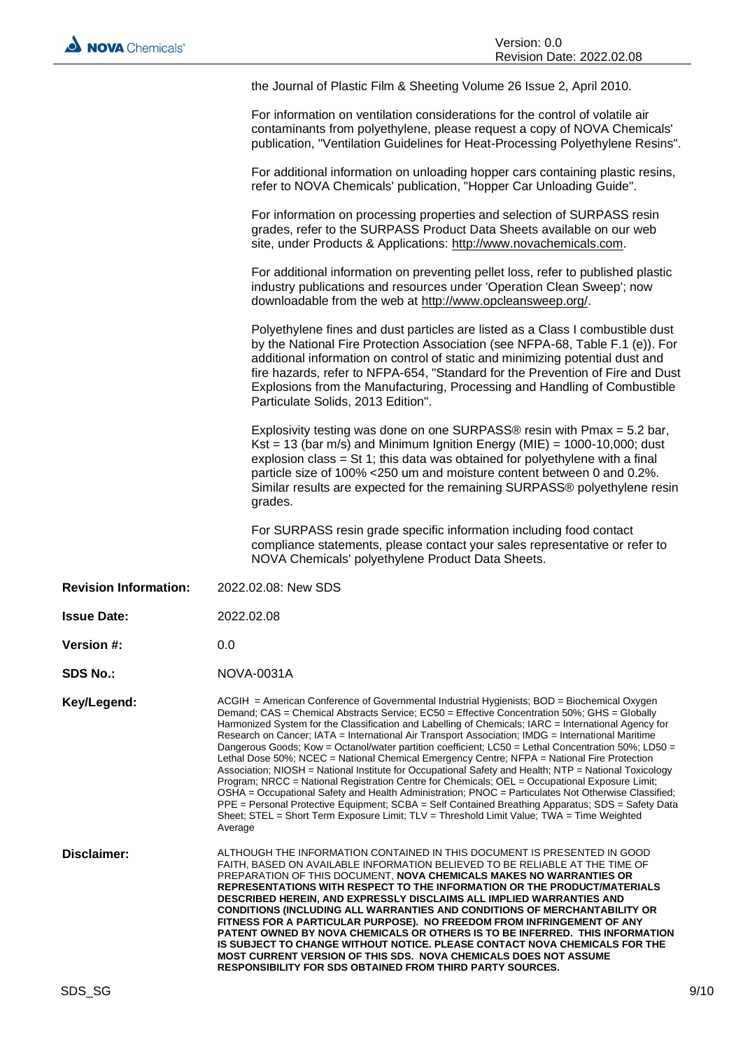the Journal of Plastic Film & Sheeting Volume 26 Issue 2, April 2010.

For information on ventilation considerations for the control of volatile air contaminants from polyethylene, please request a copy of NOVA Chemicals' publication, "Ventilation Guidelines for Heat-Processing Polyethylene Resins".

For additional information on unloading hopper cars containing plastic resins, refer to NOVA Chemicals' publication, "Hopper Car Unloading Guide".

For information on processing properties and selection of SURPASS resin grades, refer to the SURPASS Product Data Sheets available on our web site, under Products & Applications: http://www.novachemicals.com.

For additional information on preventing pellet loss, refer to published plastic industry publications and resources under 'Operation Clean Sweep'; now downloadable from the web at http://www.opcleansweep.org/.

Polyethylene fines and dust particles are listed as a Class I combustible dust by the National Fire Protection Association (see NFPA-68, Table F.1 (e)). For additional information on control of static and minimizing potential dust and fire hazards, refer to NFPA-654, "Standard for the Prevention of Fire and Dust Explosions from the Manufacturing, Processing and Handling of Combustible Particulate Solids, 2013 Edition".

Explosivity testing was done on one SURPASS® resin with Pmax = 5.2 bar, Kst = 13 (bar m/s) and Minimum Ignition Energy (MIE) =  $1000-10,000$ ; dust explosion class = St 1; this data was obtained for polyethylene with a final particle size of 100% <250 um and moisture content between 0 and 0.2%. Similar results are expected for the remaining SURPASS® polyethylene resin grades.

For SURPASS resin grade specific information including food contact compliance statements, please contact your sales representative or refer to NOVA Chemicals' polyethylene Product Data Sheets.

- **Revision Information:** 2022.02.08: New SDS
- **Issue Date:** 2022.02.08
- **Version #:** 0.0
- **SDS No.:** NOVA-0031A

Key/Legend: ACGIH = American Conference of Governmental Industrial Hygienists; BOD = Biochemical Oxygen Demand; CAS = Chemical Abstracts Service; EC50 = Effective Concentration 50%; GHS = Globally Harmonized System for the Classification and Labelling of Chemicals; IARC = International Agency for Research on Cancer; IATA = International Air Transport Association; IMDG = International Maritime Dangerous Goods; Kow = Octanol/water partition coefficient; LC50 = Lethal Concentration 50%; LD50 = Lethal Dose 50%; NCEC = National Chemical Emergency Centre; NFPA = National Fire Protection Association; NIOSH = National Institute for Occupational Safety and Health; NTP = National Toxicology Program; NRCC = National Registration Centre for Chemicals; OEL = Occupational Exposure Limit; OSHA = Occupational Safety and Health Administration; PNOC = Particulates Not Otherwise Classified; PPE = Personal Protective Equipment; SCBA = Self Contained Breathing Apparatus; SDS = Safety Data Sheet; STEL = Short Term Exposure Limit; TLV = Threshold Limit Value; TWA = Time Weighted Average

**Disclaimer:** ALTHOUGH THE INFORMATION CONTAINED IN THIS DOCUMENT IS PRESENTED IN GOOD FAITH, BASED ON AVAILABLE INFORMATION BELIEVED TO BE RELIABLE AT THE TIME OF PREPARATION OF THIS DOCUMENT, **NOVA CHEMICALS MAKES NO WARRANTIES OR REPRESENTATIONS WITH RESPECT TO THE INFORMATION OR THE PRODUCT/MATERIALS DESCRIBED HEREIN, AND EXPRESSLY DISCLAIMS ALL IMPLIED WARRANTIES AND CONDITIONS (INCLUDING ALL WARRANTIES AND CONDITIONS OF MERCHANTABILITY OR FITNESS FOR A PARTICULAR PURPOSE). NO FREEDOM FROM INFRINGEMENT OF ANY PATENT OWNED BY NOVA CHEMICALS OR OTHERS IS TO BE INFERRED. THIS INFORMATION IS SUBJECT TO CHANGE WITHOUT NOTICE. PLEASE CONTACT NOVA CHEMICALS FOR THE MOST CURRENT VERSION OF THIS SDS. NOVA CHEMICALS DOES NOT ASSUME RESPONSIBILITY FOR SDS OBTAINED FROM THIRD PARTY SOURCES.**